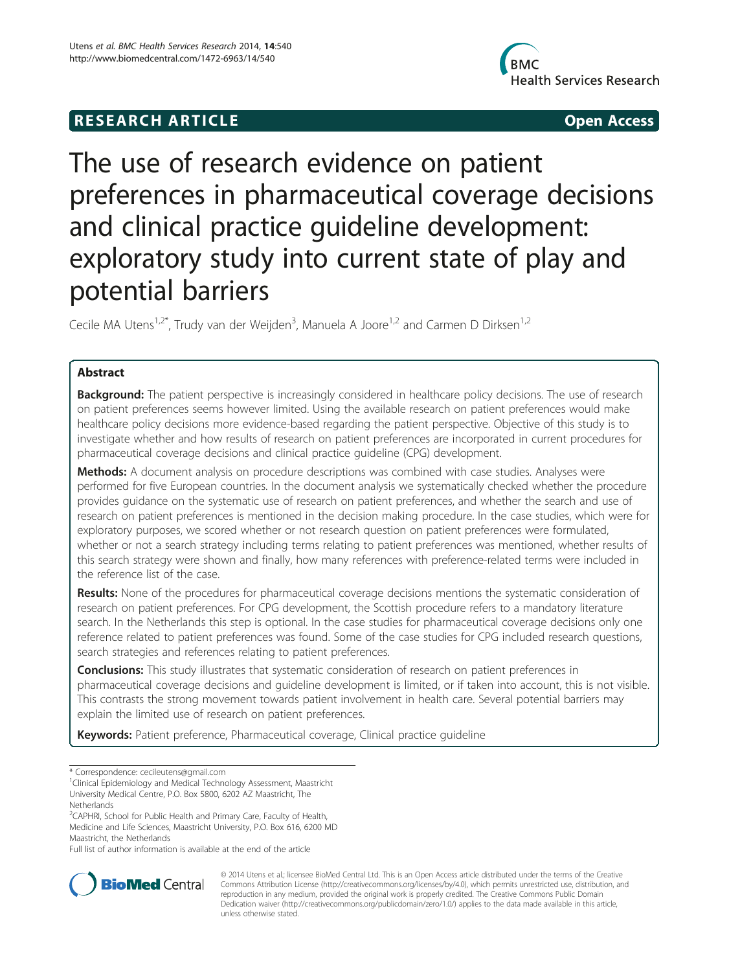# **RESEARCH ARTICLE Example 2014 12:30 The SEAR CHA RESEARCH ARTICLE**



# The use of research evidence on patient preferences in pharmaceutical coverage decisions and clinical practice guideline development: exploratory study into current state of play and potential barriers

Cecile MA Utens<sup>1,2\*</sup>, Trudy van der Weijden<sup>3</sup>, Manuela A Joore<sup>1,2</sup> and Carmen D Dirksen<sup>1,2</sup>

# Abstract

**Background:** The patient perspective is increasingly considered in healthcare policy decisions. The use of research on patient preferences seems however limited. Using the available research on patient preferences would make healthcare policy decisions more evidence-based regarding the patient perspective. Objective of this study is to investigate whether and how results of research on patient preferences are incorporated in current procedures for pharmaceutical coverage decisions and clinical practice guideline (CPG) development.

**Methods:** A document analysis on procedure descriptions was combined with case studies. Analyses were performed for five European countries. In the document analysis we systematically checked whether the procedure provides guidance on the systematic use of research on patient preferences, and whether the search and use of research on patient preferences is mentioned in the decision making procedure. In the case studies, which were for exploratory purposes, we scored whether or not research question on patient preferences were formulated, whether or not a search strategy including terms relating to patient preferences was mentioned, whether results of this search strategy were shown and finally, how many references with preference-related terms were included in the reference list of the case.

Results: None of the procedures for pharmaceutical coverage decisions mentions the systematic consideration of research on patient preferences. For CPG development, the Scottish procedure refers to a mandatory literature search. In the Netherlands this step is optional. In the case studies for pharmaceutical coverage decisions only one reference related to patient preferences was found. Some of the case studies for CPG included research questions, search strategies and references relating to patient preferences.

**Conclusions:** This study illustrates that systematic consideration of research on patient preferences in pharmaceutical coverage decisions and guideline development is limited, or if taken into account, this is not visible. This contrasts the strong movement towards patient involvement in health care. Several potential barriers may explain the limited use of research on patient preferences.

Keywords: Patient preference, Pharmaceutical coverage, Clinical practice quideline

<sup>2</sup>CAPHRI, School for Public Health and Primary Care, Faculty of Health, Medicine and Life Sciences, Maastricht University, P.O. Box 616, 6200 MD

Maastricht, the Netherlands

Full list of author information is available at the end of the article



© 2014 Utens et al.; licensee BioMed Central Ltd. This is an Open Access article distributed under the terms of the Creative Commons Attribution License [\(http://creativecommons.org/licenses/by/4.0\)](http://creativecommons.org/licenses/by/4.0), which permits unrestricted use, distribution, and reproduction in any medium, provided the original work is properly credited. The Creative Commons Public Domain Dedication waiver [\(http://creativecommons.org/publicdomain/zero/1.0/](http://creativecommons.org/publicdomain/zero/1.0/)) applies to the data made available in this article, unless otherwise stated.

<sup>\*</sup> Correspondence: [cecileutens@gmail.com](mailto:cecileutens@gmail.com) <sup>1</sup>

<sup>&</sup>lt;sup>1</sup>Clinical Epidemiology and Medical Technology Assessment, Maastricht University Medical Centre, P.O. Box 5800, 6202 AZ Maastricht, The Netherlands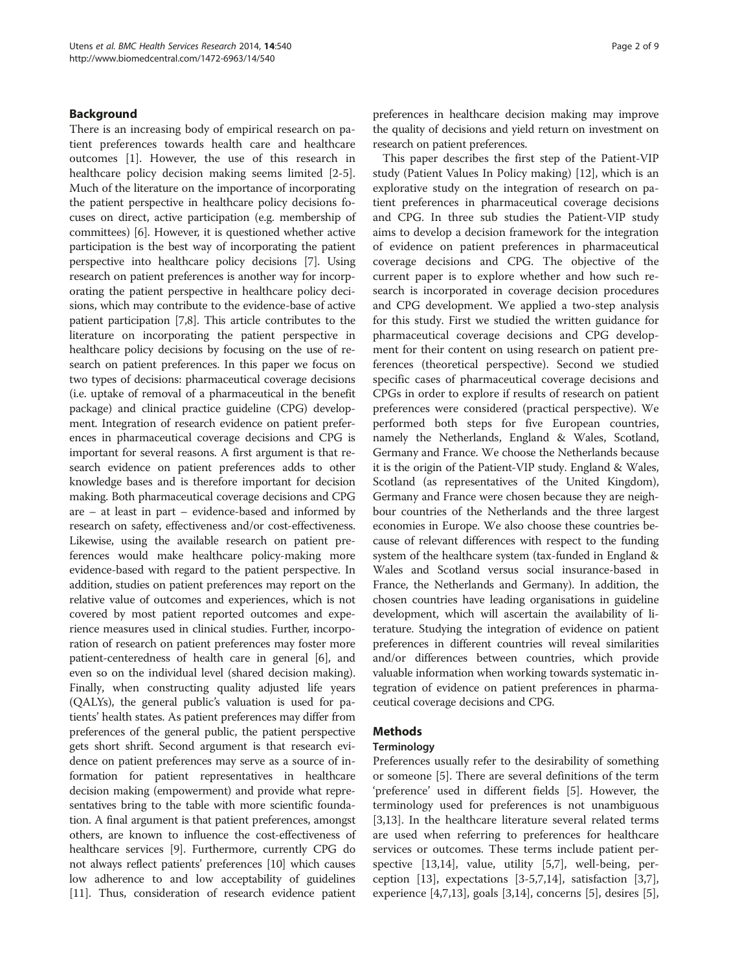# Background

There is an increasing body of empirical research on patient preferences towards health care and healthcare outcomes [[1\]](#page-7-0). However, the use of this research in healthcare policy decision making seems limited [[2-5](#page-7-0)]. Much of the literature on the importance of incorporating the patient perspective in healthcare policy decisions focuses on direct, active participation (e.g. membership of committees) [[6](#page-7-0)]. However, it is questioned whether active participation is the best way of incorporating the patient perspective into healthcare policy decisions [\[7](#page-7-0)]. Using research on patient preferences is another way for incorporating the patient perspective in healthcare policy decisions, which may contribute to the evidence-base of active patient participation [\[7,8\]](#page-7-0). This article contributes to the literature on incorporating the patient perspective in healthcare policy decisions by focusing on the use of research on patient preferences. In this paper we focus on two types of decisions: pharmaceutical coverage decisions (i.e. uptake of removal of a pharmaceutical in the benefit package) and clinical practice guideline (CPG) development. Integration of research evidence on patient preferences in pharmaceutical coverage decisions and CPG is important for several reasons. A first argument is that research evidence on patient preferences adds to other knowledge bases and is therefore important for decision making. Both pharmaceutical coverage decisions and CPG are – at least in part – evidence-based and informed by research on safety, effectiveness and/or cost-effectiveness. Likewise, using the available research on patient preferences would make healthcare policy-making more evidence-based with regard to the patient perspective. In addition, studies on patient preferences may report on the relative value of outcomes and experiences, which is not covered by most patient reported outcomes and experience measures used in clinical studies. Further, incorporation of research on patient preferences may foster more patient-centeredness of health care in general [\[6](#page-7-0)], and even so on the individual level (shared decision making). Finally, when constructing quality adjusted life years (QALYs), the general public's valuation is used for patients' health states. As patient preferences may differ from preferences of the general public, the patient perspective gets short shrift. Second argument is that research evidence on patient preferences may serve as a source of information for patient representatives in healthcare decision making (empowerment) and provide what representatives bring to the table with more scientific foundation. A final argument is that patient preferences, amongst others, are known to influence the cost-effectiveness of healthcare services [[9\]](#page-7-0). Furthermore, currently CPG do not always reflect patients' preferences [\[10\]](#page-7-0) which causes low adherence to and low acceptability of guidelines [[11](#page-7-0)]. Thus, consideration of research evidence patient preferences in healthcare decision making may improve the quality of decisions and yield return on investment on research on patient preferences.

This paper describes the first step of the Patient-VIP study (Patient Values In Policy making) [\[12](#page-7-0)], which is an explorative study on the integration of research on patient preferences in pharmaceutical coverage decisions and CPG. In three sub studies the Patient-VIP study aims to develop a decision framework for the integration of evidence on patient preferences in pharmaceutical coverage decisions and CPG. The objective of the current paper is to explore whether and how such research is incorporated in coverage decision procedures and CPG development. We applied a two-step analysis for this study. First we studied the written guidance for pharmaceutical coverage decisions and CPG development for their content on using research on patient preferences (theoretical perspective). Second we studied specific cases of pharmaceutical coverage decisions and CPGs in order to explore if results of research on patient preferences were considered (practical perspective). We performed both steps for five European countries, namely the Netherlands, England & Wales, Scotland, Germany and France. We choose the Netherlands because it is the origin of the Patient-VIP study. England & Wales, Scotland (as representatives of the United Kingdom), Germany and France were chosen because they are neighbour countries of the Netherlands and the three largest economies in Europe. We also choose these countries because of relevant differences with respect to the funding system of the healthcare system (tax-funded in England & Wales and Scotland versus social insurance-based in France, the Netherlands and Germany). In addition, the chosen countries have leading organisations in guideline development, which will ascertain the availability of literature. Studying the integration of evidence on patient preferences in different countries will reveal similarities and/or differences between countries, which provide valuable information when working towards systematic integration of evidence on patient preferences in pharmaceutical coverage decisions and CPG.

# Methods

# Terminology

Preferences usually refer to the desirability of something or someone [\[5](#page-7-0)]. There are several definitions of the term 'preference' used in different fields [[5\]](#page-7-0). However, the terminology used for preferences is not unambiguous [[3,13\]](#page-7-0). In the healthcare literature several related terms are used when referring to preferences for healthcare services or outcomes. These terms include patient perspective [\[13,14](#page-7-0)], value, utility [[5,7\]](#page-7-0), well-being, perception [[13](#page-7-0)], expectations [[3-5,7,14](#page-7-0)], satisfaction [\[3,7](#page-7-0)], experience [[4](#page-7-0),[7](#page-7-0),[13](#page-7-0)], goals [\[3,14](#page-7-0)], concerns [\[5](#page-7-0)], desires [\[5](#page-7-0)],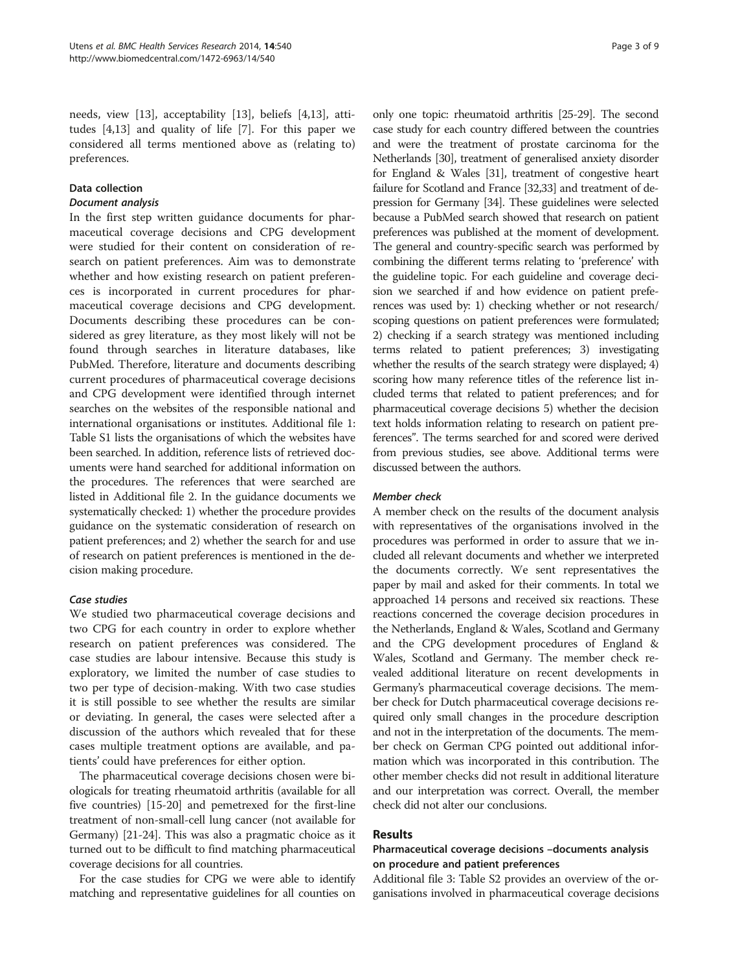needs, view [[13](#page-7-0)], acceptability [[13](#page-7-0)], beliefs [[4](#page-7-0),[13](#page-7-0)], attitudes [[4,13\]](#page-7-0) and quality of life [[7\]](#page-7-0). For this paper we considered all terms mentioned above as (relating to) preferences.

## Data collection

#### Document analysis

In the first step written guidance documents for pharmaceutical coverage decisions and CPG development were studied for their content on consideration of research on patient preferences. Aim was to demonstrate whether and how existing research on patient preferences is incorporated in current procedures for pharmaceutical coverage decisions and CPG development. Documents describing these procedures can be considered as grey literature, as they most likely will not be found through searches in literature databases, like PubMed. Therefore, literature and documents describing current procedures of pharmaceutical coverage decisions and CPG development were identified through internet searches on the websites of the responsible national and international organisations or institutes. Additional file [1](#page-7-0): Table S1 lists the organisations of which the websites have been searched. In addition, reference lists of retrieved documents were hand searched for additional information on the procedures. The references that were searched are listed in Additional file [2.](#page-7-0) In the guidance documents we systematically checked: 1) whether the procedure provides guidance on the systematic consideration of research on patient preferences; and 2) whether the search for and use of research on patient preferences is mentioned in the decision making procedure.

# Case studies

We studied two pharmaceutical coverage decisions and two CPG for each country in order to explore whether research on patient preferences was considered. The case studies are labour intensive. Because this study is exploratory, we limited the number of case studies to two per type of decision-making. With two case studies it is still possible to see whether the results are similar or deviating. In general, the cases were selected after a discussion of the authors which revealed that for these cases multiple treatment options are available, and patients' could have preferences for either option.

The pharmaceutical coverage decisions chosen were biologicals for treating rheumatoid arthritis (available for all five countries) [\[15-](#page-7-0)[20\]](#page-8-0) and pemetrexed for the first-line treatment of non-small-cell lung cancer (not available for Germany) [\[21](#page-8-0)-[24](#page-8-0)]. This was also a pragmatic choice as it turned out to be difficult to find matching pharmaceutical coverage decisions for all countries.

For the case studies for CPG we were able to identify matching and representative guidelines for all counties on

only one topic: rheumatoid arthritis [\[25-29](#page-8-0)]. The second case study for each country differed between the countries and were the treatment of prostate carcinoma for the Netherlands [[30](#page-8-0)], treatment of generalised anxiety disorder for England & Wales [[31](#page-8-0)], treatment of congestive heart failure for Scotland and France [\[32,33\]](#page-8-0) and treatment of depression for Germany [\[34\]](#page-8-0). These guidelines were selected because a PubMed search showed that research on patient preferences was published at the moment of development. The general and country-specific search was performed by combining the different terms relating to 'preference' with the guideline topic. For each guideline and coverage decision we searched if and how evidence on patient preferences was used by: 1) checking whether or not research/ scoping questions on patient preferences were formulated; 2) checking if a search strategy was mentioned including terms related to patient preferences; 3) investigating whether the results of the search strategy were displayed; 4) scoring how many reference titles of the reference list included terms that related to patient preferences; and for pharmaceutical coverage decisions 5) whether the decision text holds information relating to research on patient preferences". The terms searched for and scored were derived from previous studies, see above. Additional terms were discussed between the authors.

#### Member check

A member check on the results of the document analysis with representatives of the organisations involved in the procedures was performed in order to assure that we included all relevant documents and whether we interpreted the documents correctly. We sent representatives the paper by mail and asked for their comments. In total we approached 14 persons and received six reactions. These reactions concerned the coverage decision procedures in the Netherlands, England & Wales, Scotland and Germany and the CPG development procedures of England & Wales, Scotland and Germany. The member check revealed additional literature on recent developments in Germany's pharmaceutical coverage decisions. The member check for Dutch pharmaceutical coverage decisions required only small changes in the procedure description and not in the interpretation of the documents. The member check on German CPG pointed out additional information which was incorporated in this contribution. The other member checks did not result in additional literature and our interpretation was correct. Overall, the member check did not alter our conclusions.

# Results

# Pharmaceutical coverage decisions –documents analysis on procedure and patient preferences

Additional file [3:](#page-7-0) Table S2 provides an overview of the organisations involved in pharmaceutical coverage decisions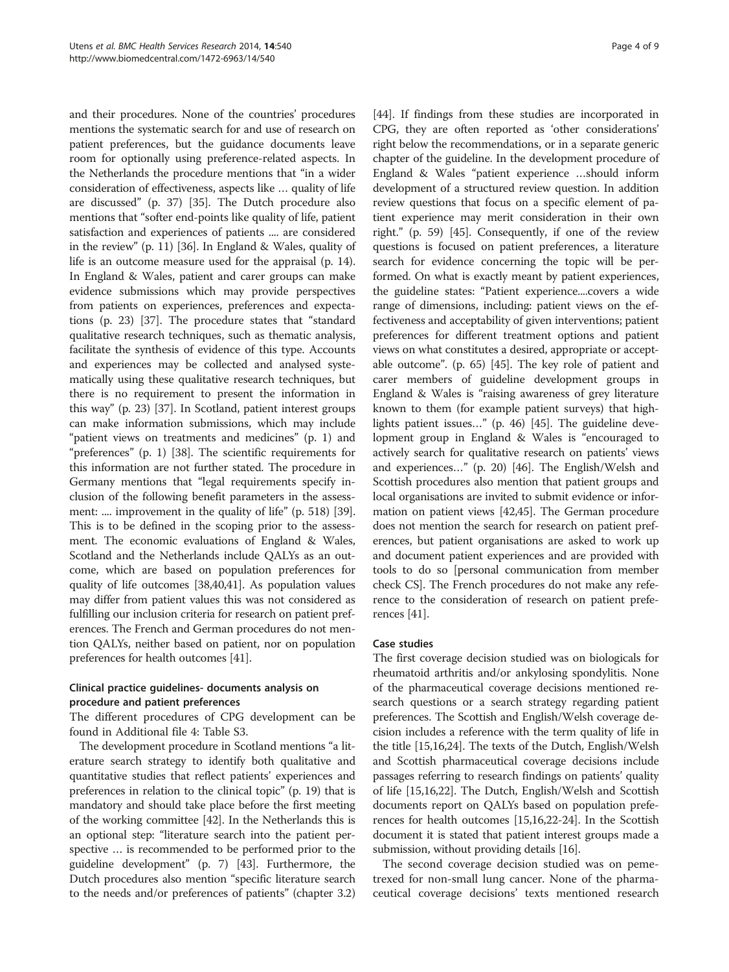and their procedures. None of the countries' procedures mentions the systematic search for and use of research on patient preferences, but the guidance documents leave room for optionally using preference-related aspects. In the Netherlands the procedure mentions that "in a wider consideration of effectiveness, aspects like … quality of life are discussed" (p. 37) [\[35](#page-8-0)]. The Dutch procedure also mentions that "softer end-points like quality of life, patient satisfaction and experiences of patients .... are considered in the review" (p. 11) [[36](#page-8-0)]. In England & Wales, quality of life is an outcome measure used for the appraisal (p. 14). In England & Wales, patient and carer groups can make evidence submissions which may provide perspectives from patients on experiences, preferences and expectations (p. 23) [[37](#page-8-0)]. The procedure states that "standard qualitative research techniques, such as thematic analysis, facilitate the synthesis of evidence of this type. Accounts and experiences may be collected and analysed systematically using these qualitative research techniques, but there is no requirement to present the information in this way" (p. 23) [\[37\]](#page-8-0). In Scotland, patient interest groups can make information submissions, which may include "patient views on treatments and medicines" (p. 1) and "preferences" (p. 1) [\[38\]](#page-8-0). The scientific requirements for this information are not further stated. The procedure in Germany mentions that "legal requirements specify inclusion of the following benefit parameters in the assessment: .... improvement in the quality of life" (p. 518) [[39](#page-8-0)]. This is to be defined in the scoping prior to the assessment. The economic evaluations of England & Wales, Scotland and the Netherlands include QALYs as an outcome, which are based on population preferences for quality of life outcomes [[38,40,41\]](#page-8-0). As population values may differ from patient values this was not considered as fulfilling our inclusion criteria for research on patient preferences. The French and German procedures do not mention QALYs, neither based on patient, nor on population preferences for health outcomes [[41](#page-8-0)].

# Clinical practice guidelines- documents analysis on procedure and patient preferences

The different procedures of CPG development can be found in Additional file [4:](#page-7-0) Table S3.

The development procedure in Scotland mentions "a literature search strategy to identify both qualitative and quantitative studies that reflect patients' experiences and preferences in relation to the clinical topic" (p. 19) that is mandatory and should take place before the first meeting of the working committee [[42](#page-8-0)]. In the Netherlands this is an optional step: "literature search into the patient perspective … is recommended to be performed prior to the guideline development" (p. 7) [\[43](#page-8-0)]. Furthermore, the Dutch procedures also mention "specific literature search to the needs and/or preferences of patients" (chapter 3.2)

[[44](#page-8-0)]. If findings from these studies are incorporated in CPG, they are often reported as 'other considerations' right below the recommendations, or in a separate generic chapter of the guideline. In the development procedure of England & Wales "patient experience …should inform development of a structured review question. In addition review questions that focus on a specific element of patient experience may merit consideration in their own right." (p. 59) [\[45](#page-8-0)]. Consequently, if one of the review questions is focused on patient preferences, a literature search for evidence concerning the topic will be performed. On what is exactly meant by patient experiences, the guideline states: "Patient experience....covers a wide range of dimensions, including: patient views on the effectiveness and acceptability of given interventions; patient preferences for different treatment options and patient views on what constitutes a desired, appropriate or acceptable outcome". (p. 65) [\[45\]](#page-8-0). The key role of patient and carer members of guideline development groups in England & Wales is "raising awareness of grey literature known to them (for example patient surveys) that highlights patient issues…" (p. 46) [[45](#page-8-0)]. The guideline development group in England & Wales is "encouraged to actively search for qualitative research on patients' views and experiences…" (p. 20) [[46](#page-8-0)]. The English/Welsh and Scottish procedures also mention that patient groups and local organisations are invited to submit evidence or information on patient views [\[42,45\]](#page-8-0). The German procedure does not mention the search for research on patient preferences, but patient organisations are asked to work up and document patient experiences and are provided with tools to do so [personal communication from member check CS]. The French procedures do not make any reference to the consideration of research on patient preferences [\[41\]](#page-8-0).

## Case studies

The first coverage decision studied was on biologicals for rheumatoid arthritis and/or ankylosing spondylitis. None of the pharmaceutical coverage decisions mentioned research questions or a search strategy regarding patient preferences. The Scottish and English/Welsh coverage decision includes a reference with the term quality of life in the title [[15](#page-7-0),[16](#page-7-0)[,24\]](#page-8-0). The texts of the Dutch, English/Welsh and Scottish pharmaceutical coverage decisions include passages referring to research findings on patients' quality of life [[15,16](#page-7-0)[,22\]](#page-8-0). The Dutch, English/Welsh and Scottish documents report on QALYs based on population preferences for health outcomes [\[15,16](#page-7-0)[,22-24](#page-8-0)]. In the Scottish document it is stated that patient interest groups made a submission, without providing details [[16](#page-7-0)].

The second coverage decision studied was on pemetrexed for non-small lung cancer. None of the pharmaceutical coverage decisions' texts mentioned research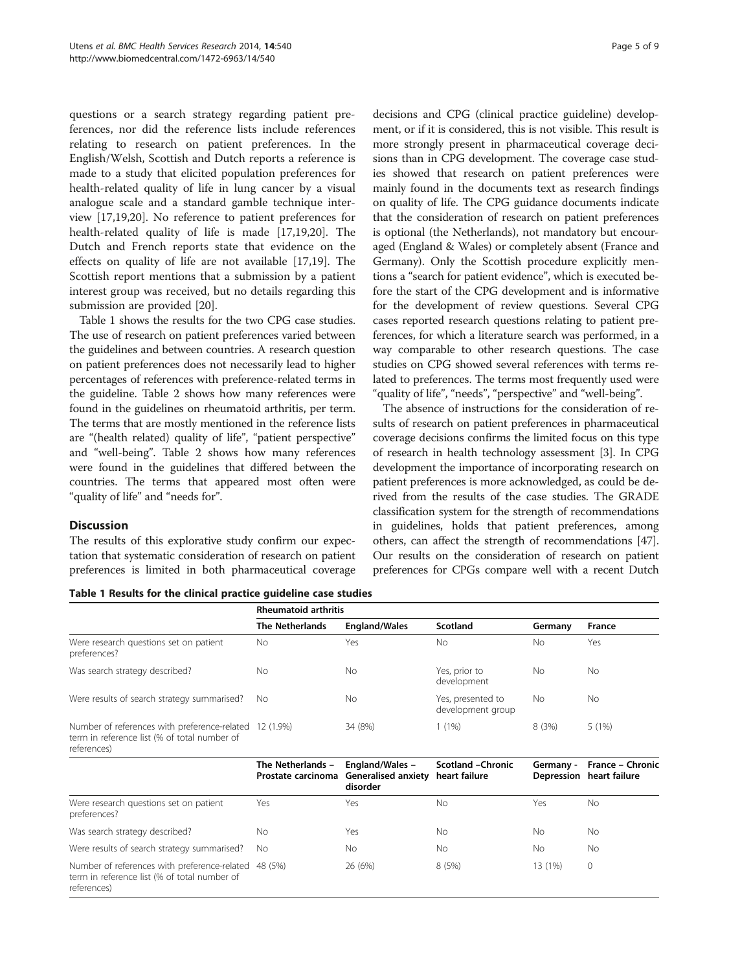questions or a search strategy regarding patient preferences, nor did the reference lists include references relating to research on patient preferences. In the English/Welsh, Scottish and Dutch reports a reference is made to a study that elicited population preferences for health-related quality of life in lung cancer by a visual analogue scale and a standard gamble technique interview [\[17](#page-7-0)[,19,20\]](#page-8-0). No reference to patient preferences for health-related quality of life is made [\[17](#page-7-0)[,19,20\]](#page-8-0). The Dutch and French reports state that evidence on the effects on quality of life are not available [[17](#page-7-0),[19](#page-8-0)]. The Scottish report mentions that a submission by a patient interest group was received, but no details regarding this submission are provided [[20](#page-8-0)].

Table 1 shows the results for the two CPG case studies. The use of research on patient preferences varied between the guidelines and between countries. A research question on patient preferences does not necessarily lead to higher percentages of references with preference-related terms in the guideline. Table [2](#page-5-0) shows how many references were found in the guidelines on rheumatoid arthritis, per term. The terms that are mostly mentioned in the reference lists are "(health related) quality of life", "patient perspective" and "well-being". Table [2](#page-5-0) shows how many references were found in the guidelines that differed between the countries. The terms that appeared most often were "quality of life" and "needs for".

# **Discussion**

The results of this explorative study confirm our expectation that systematic consideration of research on patient preferences is limited in both pharmaceutical coverage

decisions and CPG (clinical practice guideline) development, or if it is considered, this is not visible. This result is more strongly present in pharmaceutical coverage decisions than in CPG development. The coverage case studies showed that research on patient preferences were mainly found in the documents text as research findings on quality of life. The CPG guidance documents indicate that the consideration of research on patient preferences is optional (the Netherlands), not mandatory but encouraged (England & Wales) or completely absent (France and Germany). Only the Scottish procedure explicitly mentions a "search for patient evidence", which is executed before the start of the CPG development and is informative for the development of review questions. Several CPG cases reported research questions relating to patient preferences, for which a literature search was performed, in a way comparable to other research questions. The case studies on CPG showed several references with terms related to preferences. The terms most frequently used were

"quality of life", "needs", "perspective" and "well-being". The absence of instructions for the consideration of results of research on patient preferences in pharmaceutical coverage decisions confirms the limited focus on this type of research in health technology assessment [\[3\]](#page-7-0). In CPG development the importance of incorporating research on patient preferences is more acknowledged, as could be derived from the results of the case studies. The GRADE classification system for the strength of recommendations in guidelines, holds that patient preferences, among others, can affect the strength of recommendations [[47](#page-8-0)]. Our results on the consideration of research on patient preferences for CPGs compare well with a recent Dutch

Table 1 Results for the clinical practice guideline case studies

|                                                                                                                       | <b>Rheumatoid arthritis</b> |                                    |                                        |           |           |  |  |
|-----------------------------------------------------------------------------------------------------------------------|-----------------------------|------------------------------------|----------------------------------------|-----------|-----------|--|--|
|                                                                                                                       | <b>The Netherlands</b>      | <b>England/Wales</b>               | Scotland                               | Germany   | France    |  |  |
| Were research questions set on patient<br>preferences?                                                                | No                          | Yes                                | No                                     | <b>No</b> | Yes       |  |  |
| Was search strategy described?                                                                                        | No                          | No<br>Yes, prior to<br>development |                                        | <b>No</b> | <b>No</b> |  |  |
| Were results of search strategy summarised?                                                                           | No.                         | No                                 | Yes, presented to<br>development group | <b>No</b> | <b>No</b> |  |  |
| Number of references with preference-related 12 (1.9%)<br>term in reference list (% of total number of<br>references) |                             | 34 (8%)                            | 1(1%)                                  | 8(3%)     | 5(1%)     |  |  |

|                                                                                                                     | The Netherlands - | England/Wales -<br>Prostate carcinoma Generalised anxiety heart failure<br>disorder | Scotland - Chronic | Germany - | France - Chronic<br>Depression heart failure |
|---------------------------------------------------------------------------------------------------------------------|-------------------|-------------------------------------------------------------------------------------|--------------------|-----------|----------------------------------------------|
| Were research questions set on patient<br>preferences?                                                              | Yes               | Yes                                                                                 | Nο                 | Yes       | No                                           |
| Was search strategy described?                                                                                      | Nο                | Yes                                                                                 | Nο                 | No        | No                                           |
| Were results of search strategy summarised?                                                                         | No.               | Nο                                                                                  | Nο                 | No        | No                                           |
| Number of references with preference-related 48 (5%)<br>term in reference list (% of total number of<br>references) |                   | 26 (6%)                                                                             | 8(5%)              | 13(1%)    | $\Omega$                                     |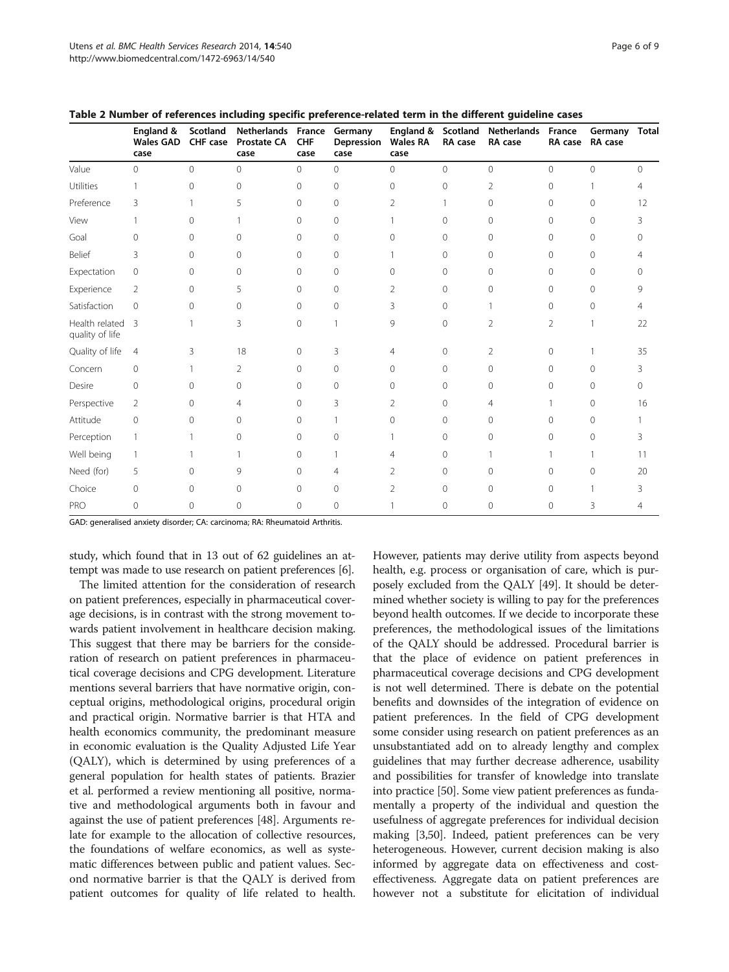|                                   | England &<br><b>Wales GAD</b><br>case | Scotland<br>CHF case | <b>Netherlands</b><br><b>Prostate CA</b><br>case | France<br><b>CHF</b><br>case | Germany<br>Depression<br>case | England &<br><b>Wales RA</b><br>case | Scotland<br>RA case | <b>Netherlands</b><br>RA case | France<br>RA case | Germany<br>RA case | <b>Total</b> |
|-----------------------------------|---------------------------------------|----------------------|--------------------------------------------------|------------------------------|-------------------------------|--------------------------------------|---------------------|-------------------------------|-------------------|--------------------|--------------|
| Value                             | $\Omega$                              | $\Omega$             | $\Omega$                                         | $\Omega$                     | $\Omega$                      | $\Omega$                             | $\Omega$            | $\Omega$                      | $\Omega$          | $\overline{0}$     | 0            |
| Utilities                         |                                       | $\Omega$             | 0                                                | $\mathbf{0}$                 | 0                             | 0                                    | $\mathbf{0}$        | 2                             | 0                 |                    | 4            |
| Preference                        | 3                                     |                      | 5                                                | $\Omega$                     | 0                             | 2                                    |                     | $\Omega$                      | 0                 | $\Omega$           | 12           |
| View                              |                                       | $\Omega$             |                                                  | $\Omega$                     | 0                             |                                      | $\Omega$            | $\Omega$                      | 0                 | 0                  | 3            |
| Goal                              | $\Omega$                              | $\Omega$             | $\Omega$                                         | $\Omega$                     | 0                             | $\Omega$                             | $\Omega$            | $\Omega$                      | $\Omega$          | 0                  | 0            |
| Belief                            | 3                                     | $\Omega$             | $\Omega$                                         | $\Omega$                     | 0                             |                                      | $\Omega$            | $\Omega$                      | 0                 | 0                  |              |
| Expectation                       | $\mathbf{0}$                          | $\Omega$             | $\Omega$                                         | $\Omega$                     | 0                             | $\Omega$                             | $\Omega$            | $\Omega$                      | 0                 | 0                  | 0            |
| Experience                        | $\overline{2}$                        | $\Omega$             | 5                                                | $\mathbf{0}$                 | 0                             | 2                                    | $\Omega$            | $\Omega$                      | 0                 | 0                  | 9            |
| Satisfaction                      | $\mathbf{0}$                          | $\Omega$             | $\Omega$                                         | $\Omega$                     | 0                             | 3                                    | $\Omega$            |                               | $\Omega$          | 0                  |              |
| Health related<br>quality of life | $\overline{3}$                        |                      | 3                                                | $\Omega$                     |                               | 9                                    | $\Omega$            | $\overline{2}$                | 2                 |                    | 22           |
| Quality of life                   | $\overline{4}$                        | 3                    | 18                                               | 0                            | 3                             | 4                                    | $\Omega$            | 2                             | $\Omega$          |                    | 35           |
| Concern                           | $\Omega$                              |                      | $\overline{2}$                                   | $\Omega$                     | $\Omega$                      | 0                                    | $\Omega$            | $\Omega$                      | 0                 | $\Omega$           | 3            |
| Desire                            | $\Omega$                              | $\Omega$             | $\Omega$                                         | $\Omega$                     | 0                             | $\Omega$                             | $\Omega$            | $\Omega$                      | 0                 | 0                  | $\Omega$     |
| Perspective                       | 2                                     | $\Omega$             | 4                                                | $\Omega$                     | 3                             | 2                                    | $\cap$              | 4                             |                   | $\Omega$           | 16           |
| Attitude                          | 0                                     | $\Omega$             | $\Omega$                                         | $\Omega$                     |                               | 0                                    | $\Omega$            | $\Omega$                      | 0                 | 0                  |              |
| Perception                        | $\mathbf{1}$                          |                      | 0                                                | $\Omega$                     | $\Omega$                      |                                      | $\Omega$            | $\Omega$                      | 0                 | 0                  | Β            |
| Well being                        | 1                                     |                      |                                                  | $\Omega$                     |                               | 4                                    | $\Omega$            |                               |                   |                    | 11           |
| Need (for)                        | 5                                     | $\Omega$             | 9                                                | $\Omega$                     | 4                             | 2                                    | $\Omega$            | $\Omega$                      | 0                 | $\Omega$           | 20           |
| Choice                            | $\Omega$                              | $\Omega$             | $\Omega$                                         | $\Omega$                     | 0                             | 2                                    | $\Omega$            | $\Omega$                      | 0                 |                    | 3            |
| PRO                               | $\cap$                                | $\Omega$             | $\Omega$                                         | $\Omega$                     | $\Omega$                      |                                      | $\cap$              | $\Omega$                      | Ω                 |                    |              |

<span id="page-5-0"></span>Table 2 Number of references including specific preference-related term in the different guideline cases

GAD: generalised anxiety disorder; CA: carcinoma; RA: Rheumatoid Arthritis.

study, which found that in 13 out of 62 guidelines an attempt was made to use research on patient preferences [[6](#page-7-0)].

The limited attention for the consideration of research on patient preferences, especially in pharmaceutical coverage decisions, is in contrast with the strong movement towards patient involvement in healthcare decision making. This suggest that there may be barriers for the consideration of research on patient preferences in pharmaceutical coverage decisions and CPG development. Literature mentions several barriers that have normative origin, conceptual origins, methodological origins, procedural origin and practical origin. Normative barrier is that HTA and health economics community, the predominant measure in economic evaluation is the Quality Adjusted Life Year (QALY), which is determined by using preferences of a general population for health states of patients. Brazier et al. performed a review mentioning all positive, normative and methodological arguments both in favour and against the use of patient preferences [\[48\]](#page-8-0). Arguments relate for example to the allocation of collective resources, the foundations of welfare economics, as well as systematic differences between public and patient values. Second normative barrier is that the QALY is derived from patient outcomes for quality of life related to health. However, patients may derive utility from aspects beyond health, e.g. process or organisation of care, which is purposely excluded from the QALY [\[49](#page-8-0)]. It should be determined whether society is willing to pay for the preferences beyond health outcomes. If we decide to incorporate these preferences, the methodological issues of the limitations of the QALY should be addressed. Procedural barrier is that the place of evidence on patient preferences in pharmaceutical coverage decisions and CPG development is not well determined. There is debate on the potential benefits and downsides of the integration of evidence on patient preferences. In the field of CPG development some consider using research on patient preferences as an unsubstantiated add on to already lengthy and complex guidelines that may further decrease adherence, usability and possibilities for transfer of knowledge into translate into practice [\[50\]](#page-8-0). Some view patient preferences as fundamentally a property of the individual and question the usefulness of aggregate preferences for individual decision making [[3](#page-7-0),[50](#page-8-0)]. Indeed, patient preferences can be very heterogeneous. However, current decision making is also informed by aggregate data on effectiveness and costeffectiveness. Aggregate data on patient preferences are however not a substitute for elicitation of individual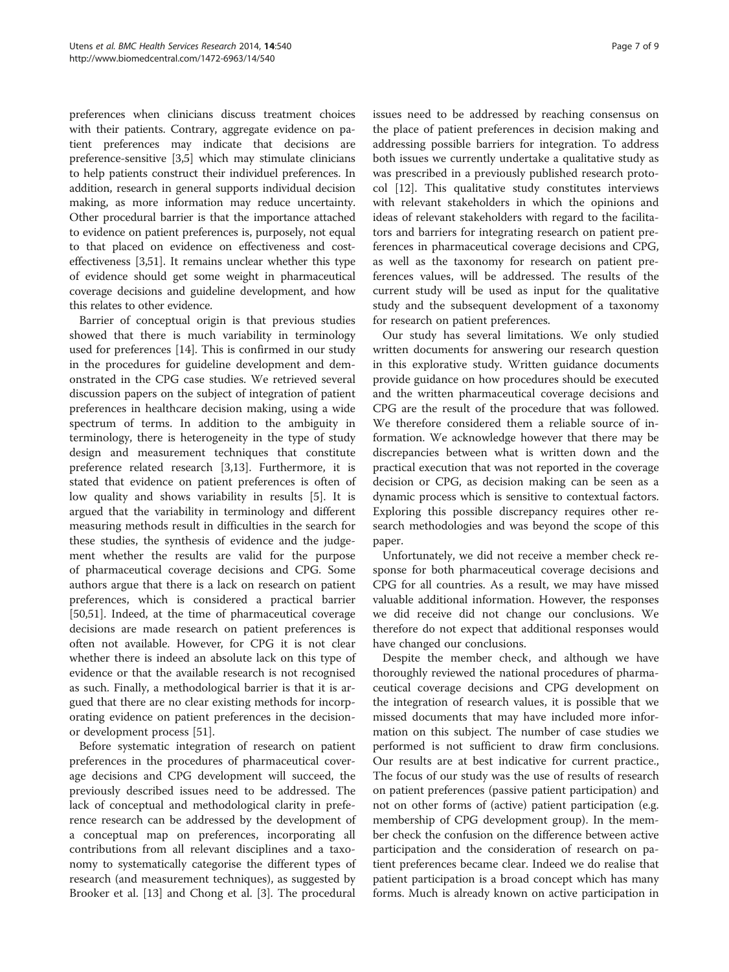preferences when clinicians discuss treatment choices with their patients. Contrary, aggregate evidence on patient preferences may indicate that decisions are preference-sensitive [\[3,5](#page-7-0)] which may stimulate clinicians to help patients construct their individuel preferences. In addition, research in general supports individual decision making, as more information may reduce uncertainty. Other procedural barrier is that the importance attached to evidence on patient preferences is, purposely, not equal to that placed on evidence on effectiveness and costeffectiveness [[3](#page-7-0)[,51](#page-8-0)]. It remains unclear whether this type of evidence should get some weight in pharmaceutical coverage decisions and guideline development, and how this relates to other evidence.

Barrier of conceptual origin is that previous studies showed that there is much variability in terminology used for preferences [\[14](#page-7-0)]. This is confirmed in our study in the procedures for guideline development and demonstrated in the CPG case studies. We retrieved several discussion papers on the subject of integration of patient preferences in healthcare decision making, using a wide spectrum of terms. In addition to the ambiguity in terminology, there is heterogeneity in the type of study design and measurement techniques that constitute preference related research [\[3,13](#page-7-0)]. Furthermore, it is stated that evidence on patient preferences is often of low quality and shows variability in results [\[5](#page-7-0)]. It is argued that the variability in terminology and different measuring methods result in difficulties in the search for these studies, the synthesis of evidence and the judgement whether the results are valid for the purpose of pharmaceutical coverage decisions and CPG. Some authors argue that there is a lack on research on patient preferences, which is considered a practical barrier [[50,51\]](#page-8-0). Indeed, at the time of pharmaceutical coverage decisions are made research on patient preferences is often not available. However, for CPG it is not clear whether there is indeed an absolute lack on this type of evidence or that the available research is not recognised as such. Finally, a methodological barrier is that it is argued that there are no clear existing methods for incorporating evidence on patient preferences in the decisionor development process [\[51](#page-8-0)].

Before systematic integration of research on patient preferences in the procedures of pharmaceutical coverage decisions and CPG development will succeed, the previously described issues need to be addressed. The lack of conceptual and methodological clarity in preference research can be addressed by the development of a conceptual map on preferences, incorporating all contributions from all relevant disciplines and a taxonomy to systematically categorise the different types of research (and measurement techniques), as suggested by Brooker et al. [\[13\]](#page-7-0) and Chong et al. [[3\]](#page-7-0). The procedural

issues need to be addressed by reaching consensus on the place of patient preferences in decision making and addressing possible barriers for integration. To address both issues we currently undertake a qualitative study as was prescribed in a previously published research protocol [[12\]](#page-7-0). This qualitative study constitutes interviews with relevant stakeholders in which the opinions and ideas of relevant stakeholders with regard to the facilitators and barriers for integrating research on patient preferences in pharmaceutical coverage decisions and CPG, as well as the taxonomy for research on patient preferences values, will be addressed. The results of the current study will be used as input for the qualitative study and the subsequent development of a taxonomy for research on patient preferences.

Our study has several limitations. We only studied written documents for answering our research question in this explorative study. Written guidance documents provide guidance on how procedures should be executed and the written pharmaceutical coverage decisions and CPG are the result of the procedure that was followed. We therefore considered them a reliable source of information. We acknowledge however that there may be discrepancies between what is written down and the practical execution that was not reported in the coverage decision or CPG, as decision making can be seen as a dynamic process which is sensitive to contextual factors. Exploring this possible discrepancy requires other research methodologies and was beyond the scope of this paper.

Unfortunately, we did not receive a member check response for both pharmaceutical coverage decisions and CPG for all countries. As a result, we may have missed valuable additional information. However, the responses we did receive did not change our conclusions. We therefore do not expect that additional responses would have changed our conclusions.

Despite the member check, and although we have thoroughly reviewed the national procedures of pharmaceutical coverage decisions and CPG development on the integration of research values, it is possible that we missed documents that may have included more information on this subject. The number of case studies we performed is not sufficient to draw firm conclusions. Our results are at best indicative for current practice., The focus of our study was the use of results of research on patient preferences (passive patient participation) and not on other forms of (active) patient participation (e.g. membership of CPG development group). In the member check the confusion on the difference between active participation and the consideration of research on patient preferences became clear. Indeed we do realise that patient participation is a broad concept which has many forms. Much is already known on active participation in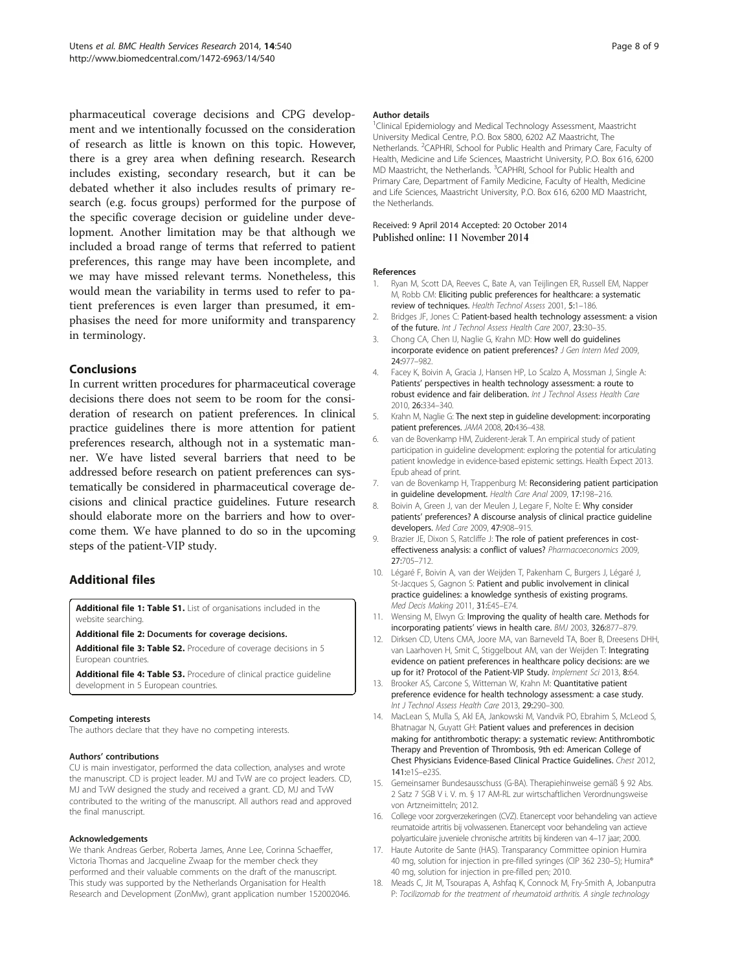<span id="page-7-0"></span>pharmaceutical coverage decisions and CPG development and we intentionally focussed on the consideration of research as little is known on this topic. However, there is a grey area when defining research. Research includes existing, secondary research, but it can be debated whether it also includes results of primary research (e.g. focus groups) performed for the purpose of the specific coverage decision or guideline under development. Another limitation may be that although we included a broad range of terms that referred to patient preferences, this range may have been incomplete, and we may have missed relevant terms. Nonetheless, this would mean the variability in terms used to refer to patient preferences is even larger than presumed, it emphasises the need for more uniformity and transparency in terminology.

# Conclusions

In current written procedures for pharmaceutical coverage decisions there does not seem to be room for the consideration of research on patient preferences. In clinical practice guidelines there is more attention for patient preferences research, although not in a systematic manner. We have listed several barriers that need to be addressed before research on patient preferences can systematically be considered in pharmaceutical coverage decisions and clinical practice guidelines. Future research should elaborate more on the barriers and how to overcome them. We have planned to do so in the upcoming steps of the patient-VIP study.

# Additional files

[Additional file 1: Table S1.](http://www.biomedcentral.com/content/supplementary/s12913-014-0540-2-s1.doc) List of organisations included in the website searching.

[Additional file 2:](http://www.biomedcentral.com/content/supplementary/s12913-014-0540-2-s2.doc) Documents for coverage decisions.

[Additional file 3: Table S2.](http://www.biomedcentral.com/content/supplementary/s12913-014-0540-2-s3.doc) Procedure of coverage decisions in 5 European countries.

[Additional file 4: Table S3.](http://www.biomedcentral.com/content/supplementary/s12913-014-0540-2-s4.doc) Procedure of clinical practice quideline development in 5 European countries.

#### Competing interests

The authors declare that they have no competing interests.

#### Authors' contributions

CU is main investigator, performed the data collection, analyses and wrote the manuscript. CD is project leader. MJ and TvW are co project leaders. CD, MJ and TvW designed the study and received a grant. CD, MJ and TvW contributed to the writing of the manuscript. All authors read and approved the final manuscript.

#### Acknowledgements

We thank Andreas Gerber, Roberta James, Anne Lee, Corinna Schaeffer, Victoria Thomas and Jacqueline Zwaap for the member check they performed and their valuable comments on the draft of the manuscript. This study was supported by the Netherlands Organisation for Health Research and Development (ZonMw), grant application number 152002046.

#### Author details

<sup>1</sup>Clinical Epidemiology and Medical Technology Assessment, Maastricht University Medical Centre, P.O. Box 5800, 6202 AZ Maastricht, The Netherlands. <sup>2</sup>CAPHRI, School for Public Health and Primary Care, Faculty of Health, Medicine and Life Sciences, Maastricht University, P.O. Box 616, 6200 MD Maastricht, the Netherlands. <sup>3</sup>CAPHRI, School for Public Health and Primary Care, Department of Family Medicine, Faculty of Health, Medicine and Life Sciences, Maastricht University, P.O. Box 616, 6200 MD Maastricht, the Netherlands.

#### Received: 9 April 2014 Accepted: 20 October 2014 Published online: 11 November 2014

#### References

- 1. Ryan M, Scott DA, Reeves C, Bate A, van Teijlingen ER, Russell EM, Napper M, Robb CM: Eliciting public preferences for healthcare: a systematic review of techniques. Health Technol Assess 2001, 5:1–186.
- 2. Bridges JF, Jones C: Patient-based health technology assessment: a vision of the future. Int J Technol Assess Health Care 2007, 23:30–35.
- 3. Chong CA, Chen IJ, Naglie G, Krahn MD: How well do guidelines incorporate evidence on patient preferences? J Gen Intern Med 2009, 24:977–982.
- 4. Facey K, Boivin A, Gracia J, Hansen HP, Lo Scalzo A, Mossman J, Single A: Patients' perspectives in health technology assessment: a route to robust evidence and fair deliberation. Int J Technol Assess Health Care 2010, 26:334–340.
- 5. Krahn M, Naglie G: The next step in guideline development: incorporating patient preferences. JAMA 2008, 20:436–438.
- van de Bovenkamp HM, Zuiderent-Jerak T. An empirical study of patient participation in guideline development: exploring the potential for articulating patient knowledge in evidence-based epistemic settings. Health Expect 2013. Epub ahead of print.
- 7. van de Bovenkamp H, Trappenburg M: Reconsidering patient participation in guideline development. Health Care Anal 2009, 17:198–216.
- 8. Boivin A, Green J, van der Meulen J, Legare F, Nolte E: Why consider patients' preferences? A discourse analysis of clinical practice guideline developers. Med Care 2009, 47:908–915.
- 9. Brazier JE, Dixon S, Ratcliffe J: The role of patient preferences in costeffectiveness analysis: a conflict of values? Pharmacoeconomics 2009, 27:705–712.
- 10. Légaré F, Boivin A, van der Weijden T, Pakenham C, Burgers J, Légaré J, St-Jacques S, Gagnon S: Patient and public involvement in clinical practice guidelines: a knowledge synthesis of existing programs. Med Decis Making 2011, 31:E45–E74.
- 11. Wensing M, Elwyn G: Improving the quality of health care. Methods for incorporating patients' views in health care. BMJ 2003, 326:877–879.
- 12. Dirksen CD, Utens CMA, Joore MA, van Barneveld TA, Boer B, Dreesens DHH, van Laarhoven H, Smit C, Stiggelbout AM, van der Weijden T: Integrating evidence on patient preferences in healthcare policy decisions: are we up for it? Protocol of the Patient-VIP Study. Implement Sci 2013, 8:64.
- 13. Brooker AS, Carcone S, Witteman W, Krahn M: Quantitative patient preference evidence for health technology assessment: a case study. Int J Technol Assess Health Care 2013, 29:290-300.
- 14. MacLean S, Mulla S, Akl EA, Jankowski M, Vandvik PO, Ebrahim S, McLeod S, Bhatnagar N, Guyatt GH: Patient values and preferences in decision making for antithrombotic therapy: a systematic review: Antithrombotic Therapy and Prevention of Thrombosis, 9th ed: American College of Chest Physicians Evidence-Based Clinical Practice Guidelines. Chest 2012, 141:e1S–e23S.
- 15. Gemeinsamer Bundesausschuss (G-BA). Therapiehinweise gemäß § 92 Abs. 2 Satz 7 SGB V i. V. m. § 17 AM-RL zur wirtschaftlichen Verordnungsweise von Artzneimitteln; 2012.
- 16. College voor zorgverzekeringen (CVZ). Etanercept voor behandeling van actieve reumatoide artritis bij volwassenen. Etanercept voor behandeling van actieve polyarticulaire juveniele chronische artritits bij kinderen van 4–17 jaar; 2000.
- 17. Haute Autorite de Sante (HAS). Transparancy Committee opinion Humira 40 mg, solution for injection in pre-filled syringes (CIP 362 230–5); Humira® 40 mg, solution for injection in pre-filled pen; 2010.
- 18. Meads C, Jit M, Tsourapas A, Ashfaq K, Connock M, Fry-Smith A, Jobanputra P: Tocilizomab for the treatment of rheumatoid arthritis. A single technology